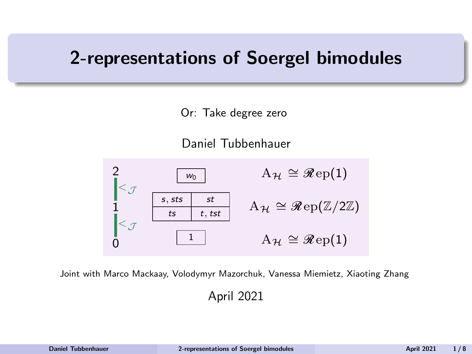## <span id="page-0-0"></span>2-representations of Soergel bimodules

Or: Take degree zero

Daniel Tubbenhauer



Joint with Marco Mackaay, Volodymyr Mazorchuk, Vanessa Miemietz, Xiaoting Zhang

April 2021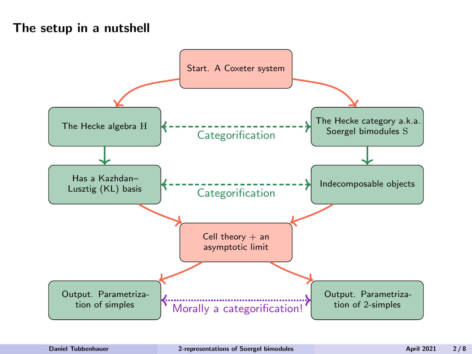#### The setup in a nutshell

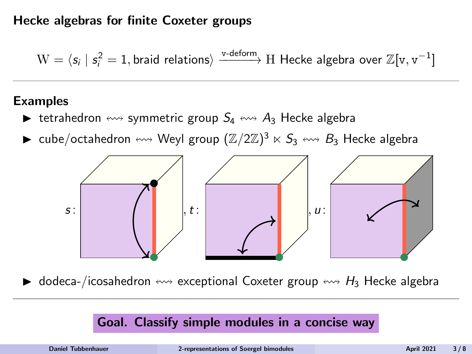#### Hecke algebras for finite Coxeter groups

 $W = \langle s_i \mid s_i^2 = 1$ , braid relations $\rangle \xrightarrow{\text{v-deform}} H$  Hecke algebra over  $\mathbb{Z}[v, v^{-1}]$ 

#### Examples

- ight tetrahedron  $\leftrightarrow$  symmetric group  $S_4 \leftrightarrow A_3$  Hecke algebra
- $\blacktriangleright$  cube/octahedron  $\leftrightsquigarrow$  Weyl group  $(\mathbb{Z}/2\mathbb{Z})^3 \ltimes S_3 \leftrightsquigarrow B_3$  Hecke algebra



 $\triangleright$  dodeca-/icosahedron  $\leftrightarrow$  exceptional Coxeter group  $\leftrightarrow$  H<sub>3</sub> Hecke algebra

#### Goal. Classify simple modules in a concise way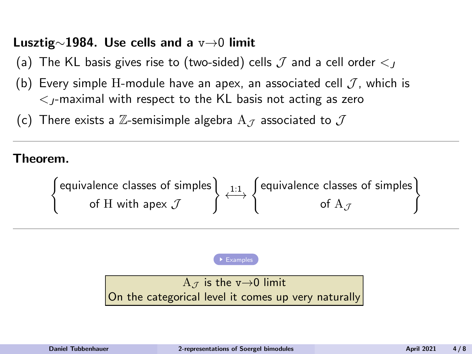#### Lusztig∼1984. Use cells and a v→0 limit

- (a) The KL basis gives rise to (two-sided) cells  $J$  and a cell order  $\lt_l$
- (b) Every simple H-module have an apex, an associated cell  $\mathcal{J}$ , which is  $\epsilon$ -maximal with respect to the KL basis not acting as zero
- (c) There exists a Z-semisimple algebra  $A_{\mathcal{I}}$  associated to  $\mathcal{J}$

#### Theorem.

( equivalence classes of simples of H with apex  $\mathcal J$  $\left\{\longleftrightarrow \left\{\begin{matrix} \text{equivalence classes of simple} \\ \text{of } A \end{matrix}\right\}\right\}$ of  $\mathrm{A}_{\mathcal{J}}$ )

[Examples](#page-22-0)

A  $\tau$  is the v $\rightarrow$ 0 limit On the categorical level it comes up very naturally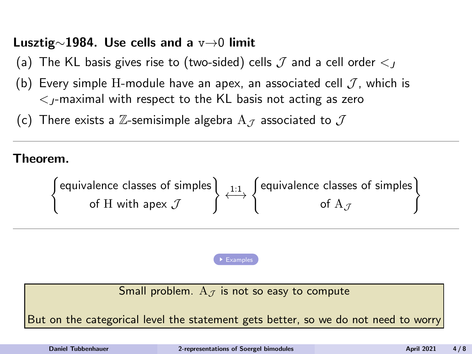### <span id="page-4-0"></span>Lusztig∼1984. Use cells and a v→0 limit

- (a) The KL basis gives rise to (two-sided) cells  $J$  and a cell order  $\lt_l$
- (b) Every simple H-module have an apex, an associated cell  $\mathcal{J}$ , which is  $\epsilon$ -maximal with respect to the KL basis not acting as zero
- (c) There exists a Z-semisimple algebra  $A_{\mathcal{I}}$  associated to  $\mathcal{J}$

#### Theorem.

( equivalence classes of simples of H with apex  $\mathcal J$  $\left\{\longleftrightarrow \left\{\begin{matrix} \text{equivalence classes of simple} \\ \text{of } A \end{matrix}\right\}\right\}$ of  $\mathrm{A}_{\mathcal{J}}$ 

[Examples](#page-22-0)

Small problem.  $A_{J}$  is not so easy to compute

But on the categorical level the statement gets better, so we do not need to worry

)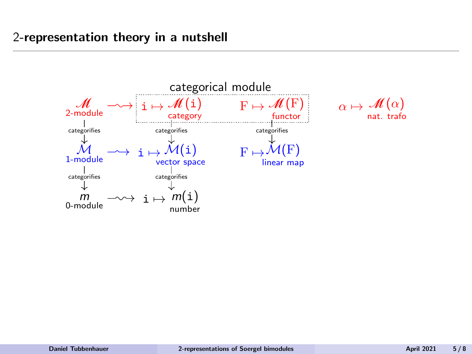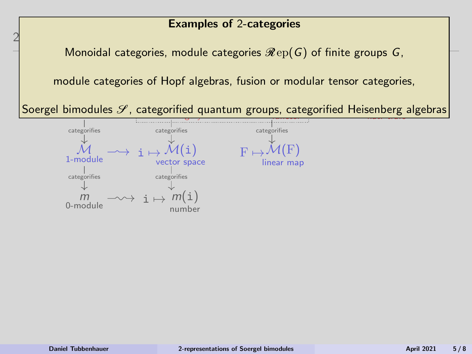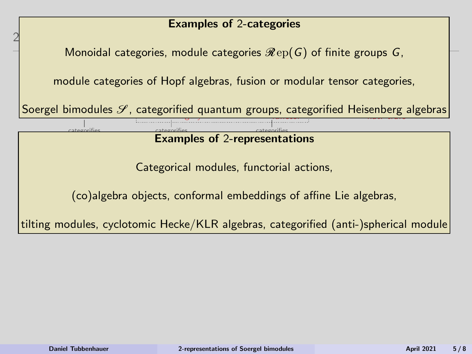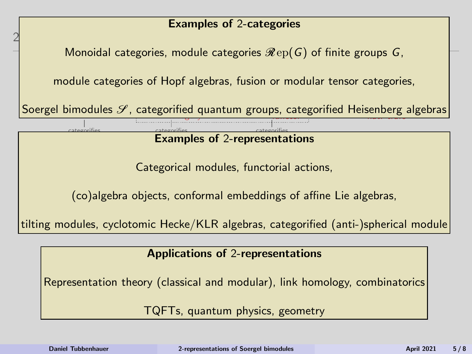

TQFTs, quantum physics, geometry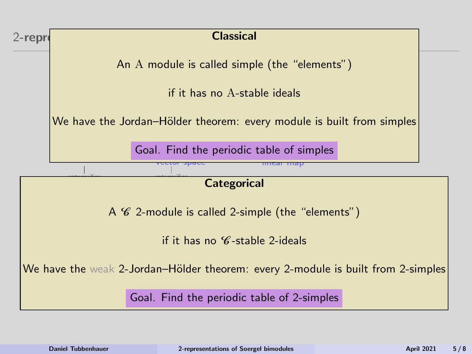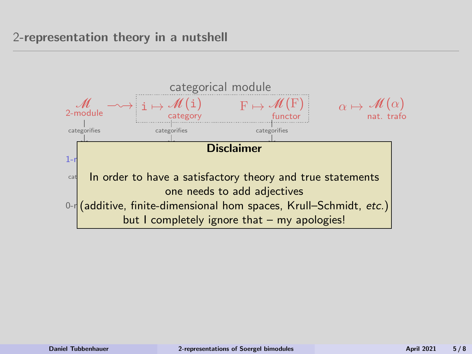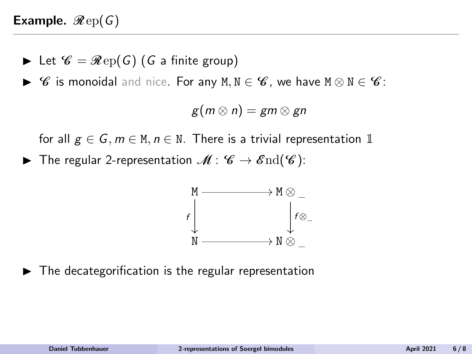- lacktriangleright Let  $\mathscr{C} = \mathscr{R}ep(G)$  (G a finite group)
- $\triangleright$  *C* is monoidal and nice. For any M, N ∈ *C*, we have M  $\otimes$  N ∈ *C*:

$$
g(m\otimes n)=gm\otimes gn
$$

for all  $g \in G$ ,  $m \in M$ ,  $n \in N$ . There is a trivial representation 1

▶ The regular 2-representation  $\mathcal{M}: \mathcal{C} \to \mathcal{E}nd(\mathcal{C})$ :



 $\blacktriangleright$  The decategorification is the regular representation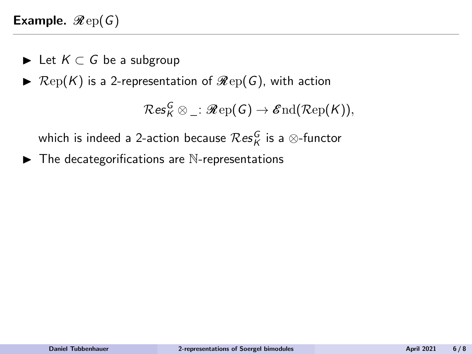- ► Let  $K \subset G$  be a subgroup
- $\blacktriangleright$   $\mathcal{R}ep(K)$  is a 2-representation of  $\mathcal{R}ep(G)$ , with action

 $\mathcal{R}\mathsf{es}^{\mathcal{G}}_{\mathcal{K}} \otimes \_ : \mathscr{R}\mathrm{ep}(\mathcal{G}) \to \mathscr{E}\mathrm{nd}(\mathcal{R}\mathrm{ep}(\mathcal{K})),$ 

which is indeed a 2-action because  $\mathcal{R}\textup{es}_K^G$  is a  $\otimes$ -functor

 $\blacktriangleright$  The decategorifications are N-representations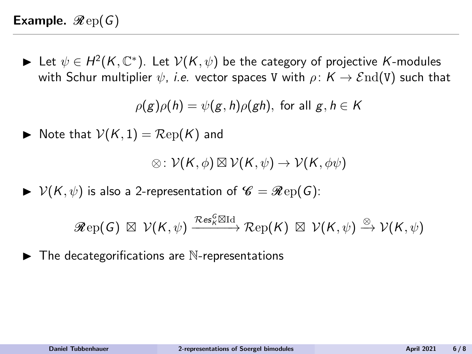► Let  $\psi \in H^2(K,{\mathbb C}^*)$ . Let  $\mathcal{V}(K,\psi)$  be the category of projective K-modules with Schur multiplier  $\psi$ , *i.e.* vector spaces V with  $\rho: K \to \mathcal{E}nd(V)$  such that

 $\rho(g)\rho(h) = \psi(g,h)\rho(gh)$ , for all  $g, h \in K$ 

$$
\blacktriangleright \text{ Note that } \mathcal{V}(K,1) = \mathcal{R}\mathrm{ep}(K) \text{ and }
$$

 $\otimes: \mathcal{V}(\mathcal{K},\phi) \boxtimes \mathcal{V}(\mathcal{K},\psi) \rightarrow \mathcal{V}(\mathcal{K},\phi\psi)$ 

 $\triangleright \; V(K, \psi)$  is also a 2-representation of  $\mathscr{C} = \mathscr{R}$ ep(G):

$$
\mathscr{R}\mathrm{ep}(G) \; \boxtimes \; \mathcal{V}(\mathcal{K},\psi) \xrightarrow{\mathcal{R}\mathrm{es}_{\kappa}^G\boxtimes \mathrm{Id}} \mathcal{R}\mathrm{ep}(\mathcal{K}) \; \boxtimes \; \mathcal{V}(\mathcal{K},\psi) \xrightarrow{\otimes} \mathcal{V}(\mathcal{K},\psi)
$$

 $\blacktriangleright$  The decategorifications are N-re[presenta](#page-25-0)tions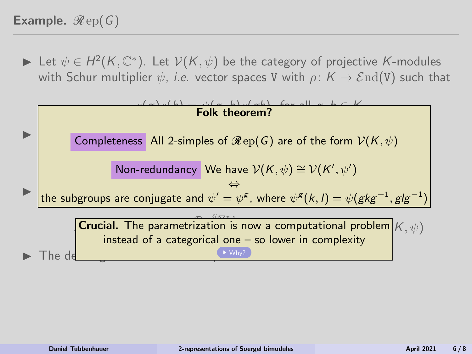<span id="page-14-0"></span>► Let  $\psi \in H^2(K, \mathbb{C}^*)$ . Let  $\mathcal{V}(K, \psi)$  be the category of projective K-modules with Schur multiplier  $\psi$ , *i.e.* vector spaces V with  $\rho: K \to \mathcal{E}nd(V)$  such that

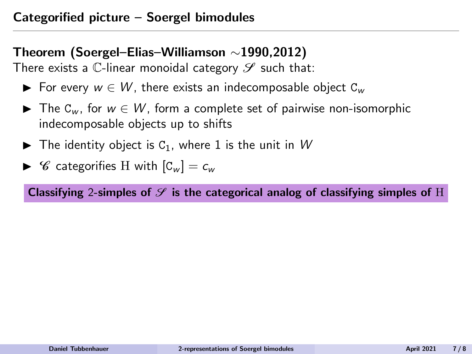## Theorem (Soergel–Elias–Williamson ∼1990,2012)

There exists a C-linear monoidal category  $\mathscr S$  such that:

- ► For every  $w \in W$ , there exists an indecomposable object  $C_w$
- $\triangleright$  The C<sub>w</sub>, for  $w \in W$ , form a complete set of pairwise non-isomorphic indecomposable objects up to shifts
- $\blacktriangleright$  The identity object is C<sub>1</sub>, where 1 is the unit in W
- $\triangleright$  C categorifies H with  $|C_w| = c_w$

Classifying 2-simples of  $\mathcal S$  is the categorical analog of classifying simples of H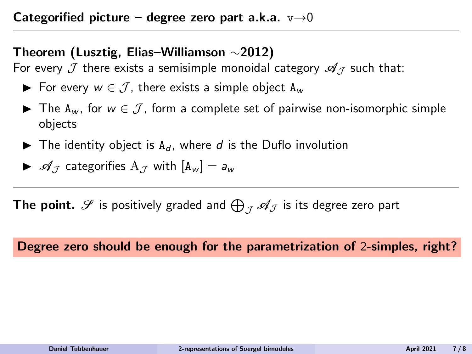#### Categorified picture – degree zero part a.k.a.  $v\rightarrow 0$

### Theorem (Lusztig, Elias–Williamson ∼2012)

For every  $\mathcal J$  there exists a semisimple monoidal category  $\mathscr A_{\mathcal I}$  such that:

- ► For every  $w \in \mathcal{J}$ , there exists a simple object  $A_w$
- **►** The A<sub>w</sub>, for  $w \in \mathcal{J}$ , form a complete set of pairwise non-isomorphic simple objects
- $\blacktriangleright$  The identity object is A<sub>d</sub>, where d is the Duflo involution

$$
\blacktriangleright \mathcal{A}_{\mathcal{J}} \text{ categories } A_{\mathcal{J}} \text{ with } [A_w] = a_w
$$

**The point.**  $\mathscr S$  is positively graded and  $\bigoplus_{\mathcal J} \mathscr A_{\mathcal J}$  is its degree zero part

#### Degree zero should be enough for the parametrization of 2-simples, right?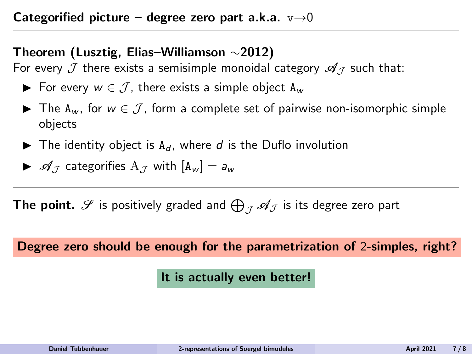#### Categorified picture – degree zero part a.k.a.  $v\rightarrow 0$

### Theorem (Lusztig, Elias–Williamson ∼2012)

For every  $\mathcal J$  there exists a semisimple monoidal category  $\mathscr A_{\mathcal I}$  such that:

- ► For every  $w \in \mathcal{J}$ , there exists a simple object  $A_w$
- **►** The A<sub>w</sub>, for  $w \in \mathcal{J}$ , form a complete set of pairwise non-isomorphic simple objects
- $\blacktriangleright$  The identity object is A<sub>d</sub>, where d is the Duflo involution

$$
\blacktriangleright \mathcal{A}_{\mathcal{J}} \text{ categories } A_{\mathcal{J}} \text{ with } [A_w] = a_w
$$

**The point.**  $\mathscr S$  is positively graded and  $\bigoplus_{\mathcal J} \mathscr A_{\mathcal J}$  is its degree zero part

#### Degree zero should be enough for the parametrization of 2-simples, right?

#### It is actually even better!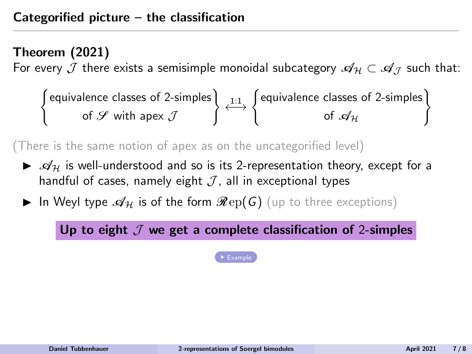## <span id="page-18-0"></span>Theorem (2021)

For every J there exists a semisimple monoidal subcategory  $\mathscr{A}_H \subset \mathscr{A}_I$  such that:

( equivalence classes of 2-simples of  ${\mathscr S}$  with apex  ${\mathcal J}$  $\left\{\longleftrightarrow \left\{\begin{matrix} \text{equivalence classes of 2-simples \\ \longleftarrow \\ \text{of } \mathcal{A}_{2} \end{matrix}\right\}\right\}$ of  $\mathscr{A}_{\mathcal{H}}$ )

(There is the same notion of apex as on the uncategorified level)

- $\blacktriangleright$   $\mathcal{A}_H$  is well-understood and so is its 2-representation theory, except for a handful of cases, namely eight  $J$ , all in exceptional types
- In Weyl type  $\mathscr{A}_{\mathcal{H}}$  is of the form  $\mathscr{R}\mathrm{ep}(G)$  (up to three exceptions)

Up to eight  $\mathcal J$  we get a complete classification of 2-simples

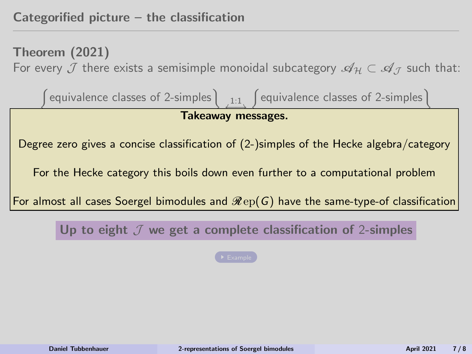Theorem (2021) For every J there exists a semisimple monoidal subcategory  $\mathscr{A}_H \subset \mathscr{A}_I$  such that:

( equivalence classes of 2-simples ) 1:1 ←→ ( Takeaway messages. equivalence classes of 2-simples) Degree zero gives a concise classification of (2-)simples of the Hecke algebra/category For the Hecke category this boils down even further to a computational problen For the Hecke category this boils down even further to a computational problem<br> For almost all cases Soergel bimodules and  $\mathscr{R}\text{ep}(\mathsf{G})$  have the same-type-of classification

Up to eight  $J$  we get a complete classification of 2-simples

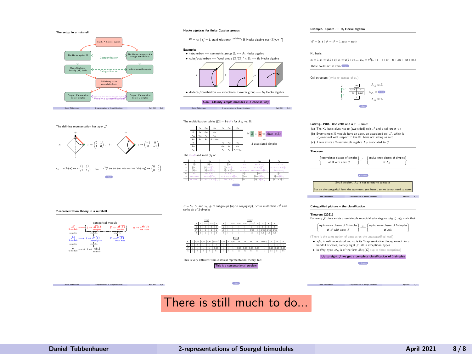

Hecke algebras for finite Coxeter groups

•  $, t$  :

The multiplication tables  $([2] = 1 + v^*)$  for  $A_{,2}$  vs. H: a<sup>s</sup> asts ast a<sup>t</sup> atst ats a<sup>s</sup> a<sup>s</sup> asts ast asts asts a<sup>s</sup> ast ats ats ats a<sup>t</sup> + atst a<sup>t</sup> a<sup>t</sup> atst ats atst atst a<sup>t</sup> ats ast ast ast a<sup>s</sup> + asts The v→0 and mod J<sup>2</sup> of:

s:

 $W = \langle s_i | s_i^2 = 1$ , braid relations $\rangle \xrightarrow{m \text{meas}}$  H Hecke algebra over  $\mathbb{Z}[v, v^{-2}]$ **Examples**<br> **F** tetrahedron  $\longrightarrow$  symmetric group  $S_4 \longrightarrow A_3$  Hecke algebra  $\blacktriangleright$  cube/octahedron  $\cdots$  Weyl group  $(\mathbb{Z}/2\mathbb{Z})^*\times S_3 \longrightarrow B_3$  Hecke algebra

• dodeca-/icosahedron --- exceptional Coxeter group ---  $H_2$  Hecke algebra

Goal. Classify simple modules in a concise way  $\label{eq:2.1} \text{D} = \text{D} + \text{D} + \text{D} + \text{D} + \text{D} + \text{D} + \text{D} + \text{D} + \text{D} + \text{D} + \text{D} + \text{D} + \text{D} + \text{D} + \text{D} + \text{D} + \text{D} + \text{D} + \text{D} + \text{D} + \text{D} + \text{D} + \text{D} + \text{D} + \text{D} + \text{D} + \text{D} + \text{D} + \text{D} + \text{D} + \text{D} + \text{D} + \text{D} + \text{D} + \$ 

• • , u :

> ⊕ Mat<sub>2×2</sub>(Z) ⇒ 3 associated simples

Example. Square - B- Hecke algebra

 $W = \langle s, t \mid s^* = t^* = 1, tets = stst \rangle$ 

#### KL basis:

 $c_1 = 1, c_n = v(1 + s), c_t = v(1 + t), ..., c_{nn} = v^*(1 + s + t + st + tx + tx + tx + w_0)$ These could act as zero **Apple** 

Cell structure (write w instead of cu):



#### Lusztig∼1984. Use cells and a v→0 limit<br>(a) The KL basis zives rise to (two-sided) cells .7 and a cell order < . (b) Every simple H-module have an apex, an associated cell ./. which is (b) Every simple H-module have an apex, an associated cell J', which is<br>  $\langle$ -maximal with respect to the KL basis not acting as zero (c) There exists a Z-semisimple algebra  $A$  - associated to  $J$ Theorem. equivalence classes of simples | 11 of H with apex J  $1:1$   $\left\{\begin{array}{c} \text{equivalence} \text{ classes of simple} \\ \text{of } 1 \end{array}\right\}$  $\sim$ Examples Small problem.  $A_J$  is not so easy to compute But the categories the state the statement gets better. Daniel Tubbenhauer 2-representations of Soergel bimodules April 2021 4 / 8 Categorified picture – the classification

Theorem (2021) For every J there exists a semisimple monoidal subcategory A<sup>H</sup> ⊂ A<sup>J</sup> such that:



Daniel Tubbenhauer 2-representations of Soergel bimodules April 2021 7  $\mu$  2021 7  $\mu$ 



Daniel Tubbenhauer 2-representations of Soergel bimodules April 2021 5 / 8

Back G = S3,S<sup>4</sup> and S5, # of subgroups (up to conjugacy), Schur multipliers H <sup>2</sup> and ranks rk of 2-simples

c<sup>s</sup> csts cst c<sup>t</sup> ctst cts cs [2]cs [2]cs [2]csts www.csts.com/ csts [2]csts [2]cs+[2]cwbo controlled controlled in the visitor of values of values of values of values of values of values of values of values of values of values of values of values of values of values of values of value cts [2]cts [2]cts [2]ctst [2]ctst vctst vctst vctst in version of vet two 2vcts + vctst + vctst + vctst + vcts ct vcts vcts vcts in vcts in version in version in version in version in version in version in version in version in version in version in version in version in version in version in version in version in version in versio ctst vctst vctst victor victor + victor in victor and victor in version in the victor of cs with variable variables + vcsts + 2vcsts + 2vcston [2]csts+[2]code [2]cststate = 2vcston [2]cs + [2]cs + [2]cs



**Chair** There is still much to do...

| -----                                                  | Marally a categorification!"                               | . .                                                                          |
|--------------------------------------------------------|------------------------------------------------------------|------------------------------------------------------------------------------|
| <b>Build Tellusheet</b>                                | A conventions of Sound Annahing                            | 318                                                                          |
|                                                        |                                                            |                                                                              |
| The defining representation has apex $\mathcal{J}_1$ : |                                                            |                                                                              |
|                                                        |                                                            |                                                                              |
| x.                                                     | $\cdots \begin{pmatrix} 0 & 1 \\ 1 & 0 \end{pmatrix}$ , r: | $\rightarrow$ $\rightarrow$ $\begin{pmatrix} -1 & 0 \\ 0 & -1 \end{pmatrix}$ |
|                                                        |                                                            |                                                                              |
|                                                        |                                                            |                                                                              |

Back



2-representation theory in a nutshell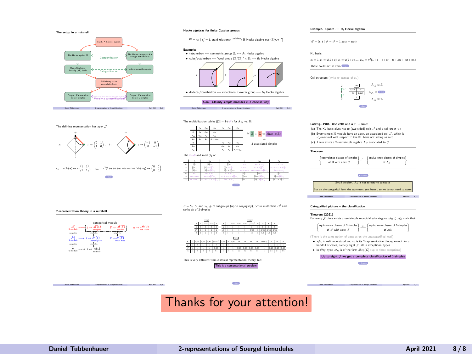<span id="page-21-0"></span>

Hecke algebras for finite Coxeter groups

•  $, t$  :

The multiplication tables  $([2] = 1 + v^*)$  for  $A_{,2}$  vs. H: a<sup>s</sup> asts ast a<sup>t</sup> atst ats a<sup>s</sup> a<sup>s</sup> asts ast asts asts a<sup>s</sup> ast ats ats ats a<sup>t</sup> + atst a<sup>t</sup> a<sup>t</sup> atst ats atst atst a<sup>t</sup> ats ast ast ast a<sup>s</sup> + asts The v→0 and mod J<sup>2</sup> of:

s:

 $W = \langle s_i | s_i^2 = 1$ , braid relations $\rangle \xrightarrow{m \text{meas}}$  H Hecke algebra over  $\mathbb{Z}[v, v^{-2}]$ **Examples**<br> **F** tetrahedron  $\longrightarrow$  symmetric group  $S_4 \longrightarrow A_3$  Hecke algebra  $\blacktriangleright$  cube/octahedron  $\cdots$  Weyl group  $(\mathbb{Z}/2\mathbb{Z})^*\times S_3 \longrightarrow B_3$  Hecke algebra

• dodeca-/icosahedron --- exceptional Coxeter group ---  $H_2$  Hecke algebra

Goal. Classify simple modules in a concise way  $\label{eq:2.1} \text{D} = \text{D} + \text{D} + \text{D} + \text{D} + \text{D} + \text{D} + \text{D} + \text{D} + \text{D} + \text{D} + \text{D} + \text{D} + \text{D} + \text{D} + \text{D} + \text{D} + \text{D} + \text{D} + \text{D} + \text{D} + \text{D} + \text{D} + \text{D} + \text{D} + \text{D} + \text{D} + \text{D} + \text{D} + \text{D} + \text{D} + \text{D} + \text{D} + \text{D} + \text{D} + \$ 

• • , u :

> ∼= Z ⊕ Z ⊕ Mat<sup>2</sup>×<sup>2</sup>(Z) ⇒ 3 associated simples

Example. Square - B- Hecke algebra

 $W = \langle s, t \mid s^* = t^* = 1, tets = stst \rangle$ 

#### KL basis:

 $c_1 = 1, c_n = v(1 + s), c_t = v(1 + t), ..., c_{nn} = v^*(1 + s + t + st + tx + tx + tx + w_0)$ These could act as zero **Apple** 

Cell structure (write w instead of cu):



#### Lusztig∼1984. Use cells and a v→0 limit<br>(a) The KL basis zives rise to (two-sided) cells  $\mathcal I$  and a cell order < . (b) Every simple H-module have an apex, an associated cell ./. which is (b) Every simple H-module have an apex, an associated cell J', which is<br>  $\langle$ -maximal with respect to the KL basis not acting as zero (c) There exists a Z-semisimple algebra  $A$  - associated to  $J$ Theorem. equivalence classes of simples | 11 of H with apex J  $1:1$   $\left\{\begin{array}{c} \text{equivalence} \text{ classes of simple} \\ \text{of } 1 \end{array}\right\}$  $\sim$ Examples Small problem.  $A_J$  is not so easy to compute But the categories the state the statement gets better. Daniel Tubbenhauer 2-representations of Soergel bimodules April 2021 4 / 8 Categorified picture – the classification Theorem (2021)

For every J there exists a semisimple monoidal subcategory A<sup>H</sup> ⊂ A<sup>J</sup> such that:  $\int$  equivalence classes of 2-simples  $\Big\}$   $\underset{t \to -\infty}{\longrightarrow} \int$  equivalence classes of 2-simples  $\Big\}$ of  $\mathscr S$  with apex  $\mathscr J$ of  $A_N$ (There is the same notion of apex as on the uncategorified level)

 $\blacktriangleright$  -rep, is well-understood and so is its 2-representation theory, except for a handful of cases, namely eight  $J$ , all in exceptional types

In Weyl type  $\mathcal{A}_N$  is of the form  $\mathcal{R}(\mathcal{G})$  (up to three exceptions)

#### Up to eight  $J$  we get a complete classification of 2-simples

Example Daniel Tubbenhauer 2-representations of Soergel bimodules April 2021 7  $\mu$  2021 7  $\mu$ 



 $F \mapsto M(F)$ <sup>α</sup> 7→ <sup>M</sup>(α) nat. trafo

categorifies

categorical modul

Back G = S3,S<sup>4</sup> and S5, # of subgroups (up to conjugacy), Schur multipliers H <sup>2</sup> and ranks rk of 2-simples

c<sup>s</sup> csts cst c<sup>t</sup> ctst cts cs [2]cs [2]cs [2]csts www.csts.com/ csts [2]csts [2]cs+[2]cwbo controlled controlled in the visitor of values of values of values of values of values of values of values of values of values of values of values of values of values of values of values of value cts [2]cts [2]cts [2]ctst [2]ctst vctst vctst vctst in version of vet two 2vcts + vctst + vctst + vctst + vcts ct vcts vcts vcts in vcts in version in version in version in version in version in version in version in version in version in version in version in version in version in version in version in version in version in versio ctst vctst vctst victor victor + victor in victor and victor in version in the victor of cs with variable variables + vcsts + 2vcsts + 2vcston [2]csts+[2]code [2]cststate = 2vcston [2]cs + [2]cs + [2]cs



This is a co

# **Chang**

# This is very different from classical representation theory, but:

## Daniel Tubbenhauer 2-representations of Soergel bimodules April 2021 5 / 8

## Thanks for your attention!

2-representation theory in a nutshell M  $2-2$  module in  $\frac{dF(1)}{dt}$ 

> **M. H.**  $M \rightarrow 1 \rightarrow M(1)$ </u> vector space  $F \rightarrow M(F)$ linear map

m. m  $m = m(1)$ number

categorifies categorifies categorifies categorifies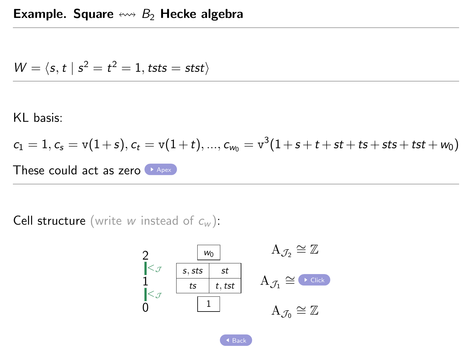<span id="page-22-0"></span>
$$
W = \langle s, t \mid s^2 = t^2 = 1, \text{tsts} = \text{stst} \rangle
$$

KL basis:

$$
c_1 = 1, c_s = v(1+s), c_t = v(1+t), ..., c_{w_0} = v^3(1+s+t+st+ts+sts+ts+w_0)
$$
  
These could act as zero

**Cell structure** (write w instead of  $c_w$ ):

$$
\begin{array}{ccc}\n2 & \text{w}_0 & A_{\mathcal{J}_2} \cong \mathbb{Z} \\
1 & \text{s, sts} & st & \\
1 & \text{ts} & t, \text{tst} & A_{\mathcal{J}_1} \cong \text{C} \text{tick} \\
0 & 1 & A_{\mathcal{J}_0} \cong \mathbb{Z}\n\end{array}
$$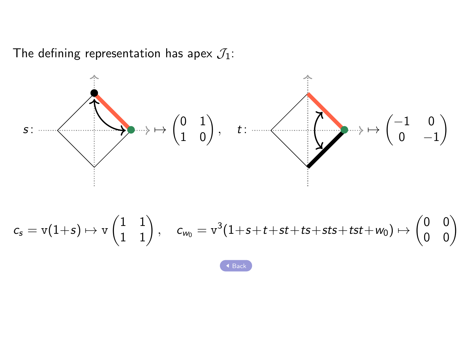<span id="page-23-0"></span>The defining representation has apex  $\mathcal{J}_1$ :



$$
c_s=v(1+s)\mapsto v\begin{pmatrix}1&1\\1&1\end{pmatrix},\quad c_{w_0}=v^3(1+s+t+st+ts+sts+tst+w_0)\mapsto\begin{pmatrix}0&0\\0&0\end{pmatrix}
$$

→<br> [Back](#page-22-0)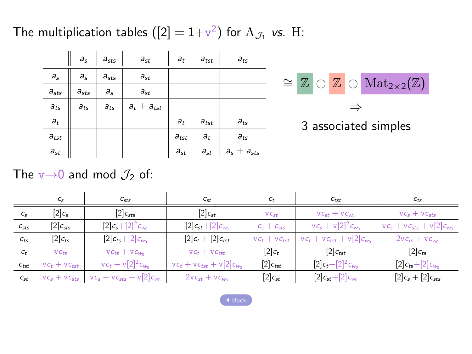<span id="page-24-0"></span>The multiplication tables  $([2] = 1+\nu^2)$  for  $\mathrm{A}_{\mathcal{J}_1}$  vs. H:

|           | $a_s$     | $a_{sts}$ | $a_{st}$        | $a_t$          | $a_{tst}$ | $a_{ts}$        |  |  |                                                                                |
|-----------|-----------|-----------|-----------------|----------------|-----------|-----------------|--|--|--------------------------------------------------------------------------------|
| $a_s$     | $a_{s}$   | $a_{sts}$ | $a_{st}$        |                |           |                 |  |  | $\cong \mathbb{Z} \oplus \mathbb{Z} \oplus \text{Mat}_{2\times 2}(\mathbb{Z})$ |
| $a_{sts}$ | $a_{sts}$ | $a_{s}$   | $a_{st}$        |                |           |                 |  |  |                                                                                |
| $a_{ts}$  | $a_{ts}$  | $a_{ts}$  | $a_t + a_{tst}$ |                |           |                 |  |  |                                                                                |
| $a_t$     |           |           |                 | a <sub>t</sub> | $a_{tst}$ | $a_{ts}$        |  |  | 3 associated simples                                                           |
| $a_{tst}$ |           |           |                 | $a_{tst}$      | $a_{t}$   | $a_{ts}$        |  |  |                                                                                |
| $a_{st}$  |           |           |                 | $a_{st}$       | $a_{st}$  | $a_s + a_{sts}$ |  |  |                                                                                |

The  $v\rightarrow 0$  and mod  $\mathcal{J}_2$  of:

|           | $C_{S}$                           | $C_{sts}$                       | C <sub>st</sub>                | $C_{t}$                               | $C_{tst}$                       | $c_{ts}$                        |  |
|-----------|-----------------------------------|---------------------------------|--------------------------------|---------------------------------------|---------------------------------|---------------------------------|--|
| $C_{S}$   | $[2]c_s$                          | $[2]$ <sub>Csts</sub>           | $[2]$ <sub>Cst</sub>           | VC <sub>st</sub>                      | $vc_{st} + vc_{wn}$             | $VC_s + VC_{\text{cfs}}$        |  |
| $C_{sts}$ | $[2]$ C <sub>sts</sub>            | $[2]c_{s}+[2]^{2}c_{w_{0}}$     | $[2]c_{st}+[2]c_{w_0}$         | $c_s + c_{sts}$                       | $vc_s + v[2]^2c_{w_0}$          | $vc_s + vc_{sts} + v[2]c_{w_0}$ |  |
| $C_{ts}$  | $[2]$ <sub><math>c</math>ts</sub> | $[2]c_{ts}+[2]c_{w_0}$          | $[2]c_t + [2]c_{tst}$          | $vc_t + vc_{tst}$                     | $vc_t + vc_{tst} + v[2]c_{w_0}$ | $2v c_{ts} + v c_{w_0}$         |  |
| $c_t$     | $VC_{fs}$                         | $vc_{ts} + vc_{w_0}$            | $vc_t + vc_{tst}$              | $[2]c_t$                              | $[2]$ <sub>Ctst</sub>           | $[2]c_{ts}$                     |  |
| $c_{tst}$ | $vc_t + vc_{tst}$                 | $vc_t + v[2]^2c_{wn}$           | $vc_t + vc_{tst} + v[2]c_{vm}$ | $[2]$ <sub><math>c_{tst}</math></sub> | $[2]c_t+[2]^2c_{w_0}$           | $[2]c_{ts} + [2]c_{w_0}$        |  |
| $c_{st}$  | $vc_s + vc_{sts}$                 | $vc_s + vc_{sts} + v[2]c_{w_0}$ | $2v c_{st} + v c_{wn}$         | $[2]$ <sub>Cst</sub>                  | $[2]c_{st}+[2]c_{w_0}$          | $[2]c_s + [2]c_{sts}$           |  |

 $\overline{AB}$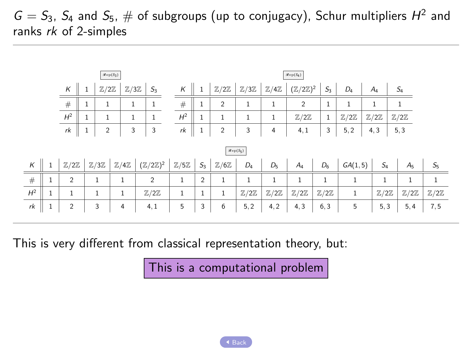<span id="page-25-0"></span> $G = S_3$ ,  $S_4$  and  $S_5$ ,  $\#$  of subgroups (up to conjugacy), Schur multipliers  $H^2$  and ranks rk of 2-simples

| $\mathcal{R}\!\circ\!\mathrm{p}(S_3)$                                              |                        |                          |  |                |   |                                                                                |                                |               |                          |                          |                          | $\mathcal{R}\exp(S_4)$             |                          |                          |                          |                          |                          |                          |
|------------------------------------------------------------------------------------|------------------------|--------------------------|--|----------------|---|--------------------------------------------------------------------------------|--------------------------------|---------------|--------------------------|--------------------------|--------------------------|------------------------------------|--------------------------|--------------------------|--------------------------|--------------------------|--------------------------|--------------------------|
| $\mathbb{Z}/2\mathbb{Z}$<br>$\mathbb{Z}/3\mathbb{Z}$<br>$S_3$<br>К<br>$\mathbf{1}$ |                        |                          |  |                |   |                                                                                | К                              | $\parallel$ 1 | $\mathbb{Z}/2\mathbb{Z}$ | $\mathbb{Z}/3\mathbb{Z}$ | $\mathbb{Z}/4\mathbb{Z}$ | $(\mathbb{Z}/2\mathbb{Z})^2$ $S_3$ |                          | $D_4$                    | $A_4$                    | $S_4$                    |                          |                          |
|                                                                                    |                        | $\#$                     |  | $\mathbf{1}$   | 1 | $\mathbf{1}$                                                                   | $\#$                           |               | $\overline{c}$           | 1                        | $\mathbf{1}$             | $\overline{2}$                     |                          |                          | 1                        | 1                        |                          |                          |
|                                                                                    |                        | $H^2$                    |  | $\mathbf{1}$   |   |                                                                                | $H^2$                          |               | $\mathbf{1}$             | 1                        | $\mathbf{1}$             | $\mathbb{Z}/2\mathbb{Z}$           | $\mathbf{1}$             | $\mathbb{Z}/2\mathbb{Z}$ | $\mathbb{Z}/2\mathbb{Z}$ | $\mathbb{Z}/2\mathbb{Z}$ |                          |                          |
|                                                                                    |                        | $\ensuremath{rk}$        |  | $\overline{2}$ | 3 | 3                                                                              | rk                             | $1\,$         | $\overline{c}$           | 3                        | 4                        | 4, 1                               | 3                        | 5, 2                     | 4, 3                     | 5, 3                     |                          |                          |
|                                                                                    | $\mathcal{R}\exp(S_5)$ |                          |  |                |   |                                                                                |                                |               |                          |                          |                          |                                    |                          |                          |                          |                          |                          |                          |
| $\kappa$                                                                           | $\mathbf{1}$           | $\mathbb{Z}/2\mathbb{Z}$ |  |                |   | $\mathbb{Z}/3\mathbb{Z}$ $\mathbb{Z}/4\mathbb{Z}$ $(\mathbb{Z}/2\mathbb{Z})^2$ | $\mathbb{Z}/5\mathbb{Z}$ $S_3$ |               | $\mathbb{Z}/6\mathbb{Z}$ | $D_4$                    | $D_5$                    | $A_4$                              | $D_6$                    | GA(1,5)                  | $S_4$                    |                          | A <sub>5</sub>           | $S_{5}$                  |
| #                                                                                  | $\mathbf{1}$           | 2                        |  | 1              | 1 | $\overline{c}$                                                                 | 1                              | 2             | 1                        | $\mathbf{1}$             | $\mathbf{1}$             | $\mathbf{1}$                       | 1                        | $\mathbf{1}$             |                          |                          | $\mathbf{1}$             | $\mathbf{1}$             |
| $H^2$                                                                              | 1                      | $\mathbf{1}$             |  | 1              |   | $\mathbb{Z}/2\mathbb{Z}$                                                       | $\mathbf{1}$                   | 1             | $\mathbf{1}$             | $\mathbb{Z}/2\mathbb{Z}$ | $\mathbb{Z}/2\mathbb{Z}$ | $\mathbb{Z}/2\mathbb{Z}$           | $\mathbb{Z}/2\mathbb{Z}$ | 1                        | $\mathbb{Z}/2\mathbb{Z}$ |                          | $\mathbb{Z}/2\mathbb{Z}$ | $\mathbb{Z}/2\mathbb{Z}$ |
| rk                                                                                 | $\mathbf{1}$           | $\overline{2}$           |  | 3              | 4 | 4, 1                                                                           | 5                              | 3             | 6                        | 5, 2                     | 4, 2                     | 4, 3                               | 6, 3                     | 5                        | 5, 3                     |                          | 5, 4                     | 7, 5                     |

This is very different from classical representation theory, but:

This is a computational problem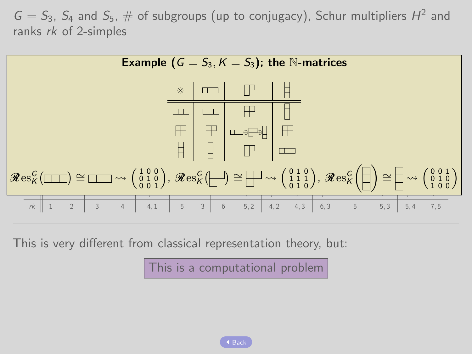$G = S_3$ ,  $S_4$  and  $S_5$ ,  $\#$  of subgroups (up to conjugacy), Schur multipliers  $H^2$  and ranks rk of 2-simples



This is very different from classical representation theory, but:

This is a computational problem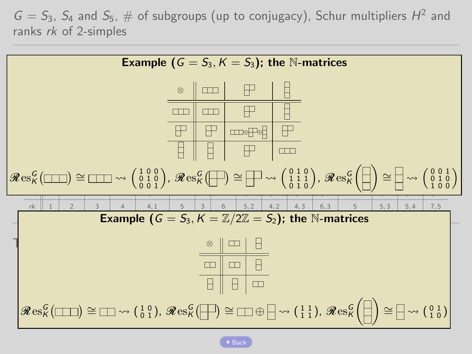$G = S_3$ ,  $S_4$  and  $S_5$ ,  $\#$  of subgroups (up to conjugacy), Schur multipliers  $H^2$  and ranks rk of 2-simples